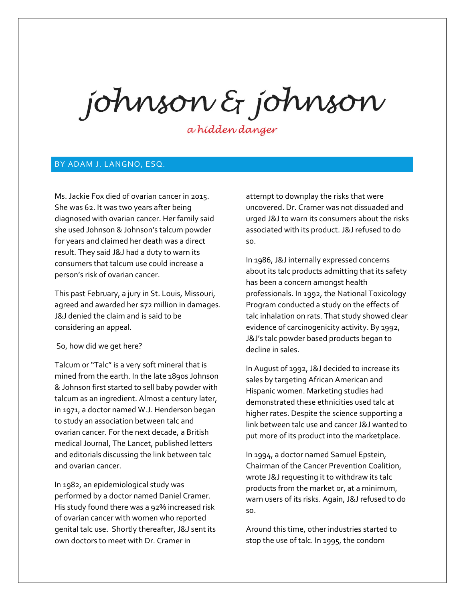johnson & johnson

a hidden danger

## BY ADAM J. LANGNO, ESQ.

Ms. Jackie Fox died of ovarian cancer in 2015. She was 62. It was two years after being diagnosed with ovarian cancer. Her family said she used Johnson & Johnson's talcum powder for years and claimed her death was a direct result. They said J&J had a duty to warn its consumers that talcum use could increase a person's risk of ovarian cancer.

This past February, a jury in St. Louis, Missouri, agreed and awarded her \$72 million in damages. J&J denied the claim and is said to be considering an appeal.

## So, how did we get here?

Talcum or "Talc" is a very soft mineral that is mined from the earth. In the late 1890s Johnson & Johnson first started to sell baby powder with talcum as an ingredient. Almost a century later, in 1971, a doctor named W.J. Henderson began to study an association between talc and ovarian cancer. For the next decade, a British medical Journal, The Lancet, published letters and editorials discussing the link between talc and ovarian cancer.

In 1982, an epidemiological study was performed by a doctor named Daniel Cramer. His study found there was a 92% increased risk of ovarian cancer with women who reported genital talc use. Shortly thereafter, J&J sent its own doctors to meet with Dr. Cramer in

attempt to downplay the risks that were uncovered. Dr. Cramer was not dissuaded and urged J&J to warn its consumers about the risks associated with its product. J&J refused to do so.

In 1986, J&J internally expressed concerns about its talc products admitting that its safety has been a concern amongst health professionals. In 1992, the National Toxicology Program conducted a study on the effects of talc inhalation on rats. That study showed clear evidence of carcinogenicity activity. By 1992, J&J's talc powder based products began to decline in sales.

In August of 1992, J&J decided to increase its sales by targeting African American and Hispanic women. Marketing studies had demonstrated these ethnicities used talc at higher rates. Despite the science supporting a link between talc use and cancer J&J wanted to put more of its product into the marketplace.

In 1994, a doctor named Samuel Epstein, Chairman of the Cancer Prevention Coalition, wrote J&J requesting it to withdraw its talc products from the market or, at a minimum, warn users of its risks. Again, J&J refused to do so.

Around this time, other industries started to stop the use of talc. In 1995, the condom